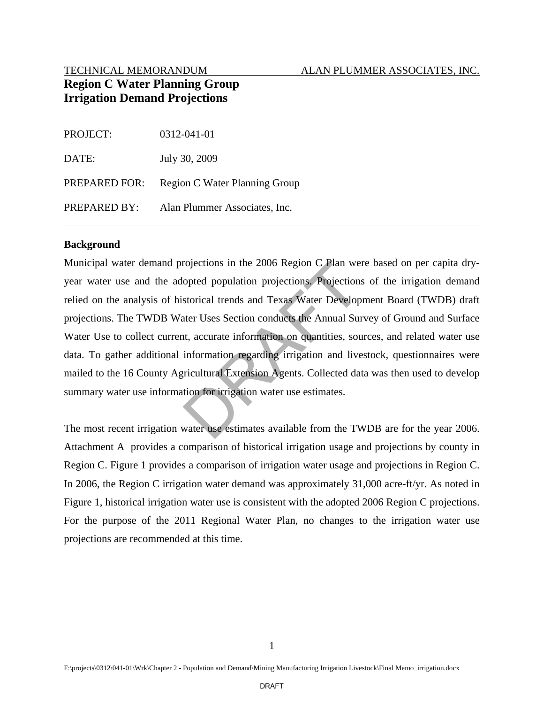### TECHNICAL MEMORANDUM ALAN PLUMMER ASSOCIATES, INC.

# **Region C Water Planning Group Irrigation Demand Projections**

| PROJECT:      | 0312-041-01                   |
|---------------|-------------------------------|
| DATE:         | July 30, 2009                 |
| PREPARED FOR: | Region C Water Planning Group |
| PREPARED BY:  | Alan Plummer Associates, Inc. |

### **Background**

Municipal water demand projections in the 2006 Region C Plan were based on per capita dryyear water use and the adopted population projections. Projections of the irrigation demand relied on the analysis of historical trends and Texas Water Development Board (TWDB) draft projections. The TWDB Water Uses Section conducts the Annual Survey of Ground and Surface Water Use to collect current, accurate information on quantities, sources, and related water use data. To gather additional information regarding irrigation and livestock, questionnaires were mailed to the 16 County Agricultural Extension Agents. Collected data was then used to develop summary water use information for irrigation water use estimates. rojections in the 2006 Region C Plan we<br>opted population projections. Projection<br>storical trends and Texas Water Develop<br>ater Uses Section conducts the Annual Sun<br>t, accurate information on quantities, sou<br>information rega

The most recent irrigation water use estimates available from the TWDB are for the year 2006. Attachment A provides a comparison of historical irrigation usage and projections by county in Region C. Figure 1 provides a comparison of irrigation water usage and projections in Region C. In 2006, the Region C irrigation water demand was approximately 31,000 acre-ft/yr. As noted in Figure 1, historical irrigation water use is consistent with the adopted 2006 Region C projections. For the purpose of the 2011 Regional Water Plan, no changes to the irrigation water use projections are recommended at this time.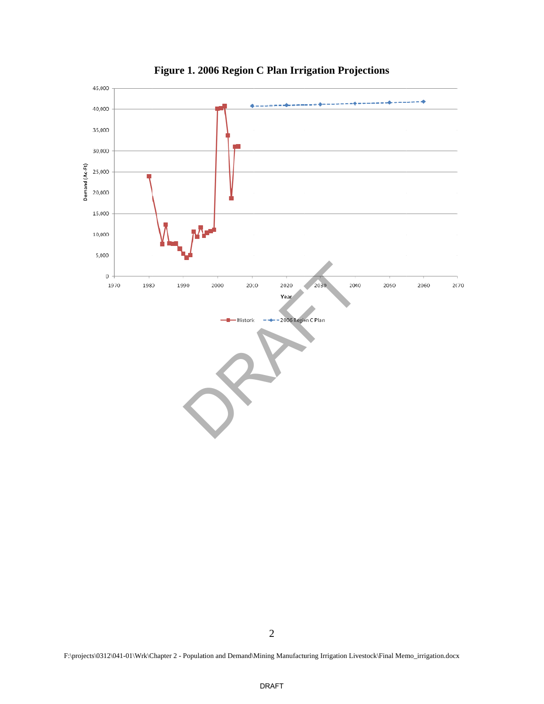

Figure 1. 2006 Region C Plan Irrigation Projections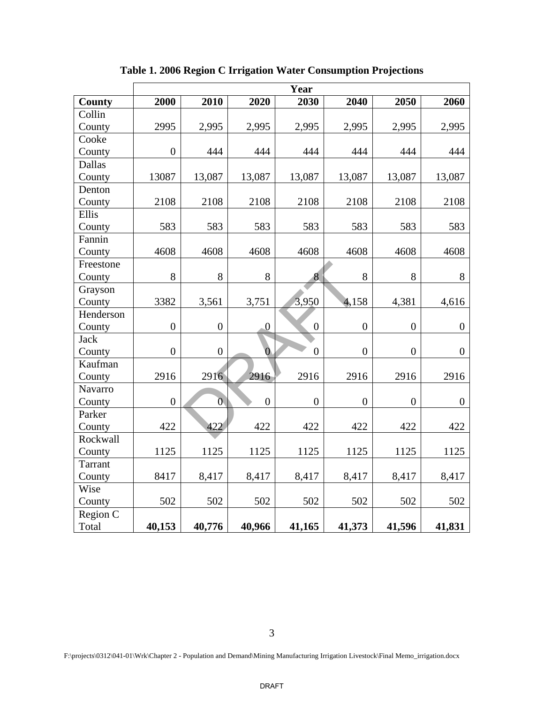|                | Year             |                  |                  |                  |                |                  |                |  |  |
|----------------|------------------|------------------|------------------|------------------|----------------|------------------|----------------|--|--|
| <b>County</b>  | 2000             | 2010             | 2020             | 2030             | 2040           | 2050             | 2060           |  |  |
| Collin         |                  |                  |                  |                  |                |                  |                |  |  |
| County         | 2995             | 2,995            | 2,995            | 2,995            | 2,995          | 2,995            | 2,995          |  |  |
| Cooke          |                  |                  |                  |                  |                |                  |                |  |  |
| County         | $\boldsymbol{0}$ | 444              | 444              | 444              | 444            | 444              | 444            |  |  |
| <b>Dallas</b>  |                  |                  |                  |                  |                |                  |                |  |  |
| County         | 13087            | 13,087           | 13,087           | 13,087           | 13,087         | 13,087           | 13,087         |  |  |
| Denton         |                  |                  |                  |                  |                |                  |                |  |  |
| County         | 2108             | 2108             | 2108             | 2108             | 2108           | 2108             | 2108           |  |  |
| Ellis          |                  |                  |                  |                  |                |                  |                |  |  |
| County         | 583              | 583              | 583              | 583              | 583            | 583              | 583            |  |  |
| Fannin         |                  |                  |                  |                  |                |                  |                |  |  |
| County         | 4608             | 4608             | 4608             | 4608             | 4608           | 4608             | 4608           |  |  |
| Freestone      |                  |                  |                  |                  |                |                  |                |  |  |
| County         | 8                | 8                | 8                | 8                | 8              | 8                | 8              |  |  |
| Grayson        |                  |                  |                  |                  |                |                  |                |  |  |
| County         | 3382             | 3,561            | 3,751            | 3,950            | 4,158          | 4,381            | 4,616          |  |  |
| Henderson      |                  |                  |                  |                  |                |                  |                |  |  |
| County         | $\overline{0}$   | $\overline{0}$   | $\boldsymbol{0}$ | $\boldsymbol{0}$ | $\overline{0}$ | $\boldsymbol{0}$ | $\overline{0}$ |  |  |
| <b>Jack</b>    |                  |                  |                  |                  |                |                  |                |  |  |
| County         | $\overline{0}$   | $\boldsymbol{0}$ | $\overline{0}$   | $\overline{0}$   | $\overline{0}$ | $\overline{0}$   | $\overline{0}$ |  |  |
| Kaufman        |                  |                  |                  |                  |                |                  |                |  |  |
| County         | 2916             | 2916             | 2916             | 2916             | 2916           | 2916             | 2916           |  |  |
| Navarro        |                  |                  |                  |                  |                |                  |                |  |  |
| County         | $\overline{0}$   | $\overline{0}$   | $\overline{0}$   | $\overline{0}$   | $\overline{0}$ | $\boldsymbol{0}$ | $\overline{0}$ |  |  |
| Parker         |                  |                  |                  |                  |                |                  |                |  |  |
| County         | 422              | 422              | 422              | 422              | 422            | 422              | 422            |  |  |
| Rockwall       |                  |                  |                  |                  |                |                  |                |  |  |
| County         | 1125             | 1125             | 1125             | 1125             | 1125           | 1125             | 1125           |  |  |
| <b>Tarrant</b> |                  |                  |                  |                  |                |                  |                |  |  |
| County         | 8417             | 8,417            | 8,417            | 8,417            | 8,417          | 8,417            | 8,417          |  |  |
| Wise           |                  |                  |                  |                  |                |                  |                |  |  |
| County         | 502              | 502              | 502              | 502              | 502            | 502              | 502            |  |  |
| Region C       |                  |                  |                  |                  |                |                  |                |  |  |
| Total          | 40,153           | 40,776           | 40,966           | 41,165           | 41,373         | 41,596           | 41,831         |  |  |

**Table 1. 2006 Region C Irrigation Water Consumption Projections**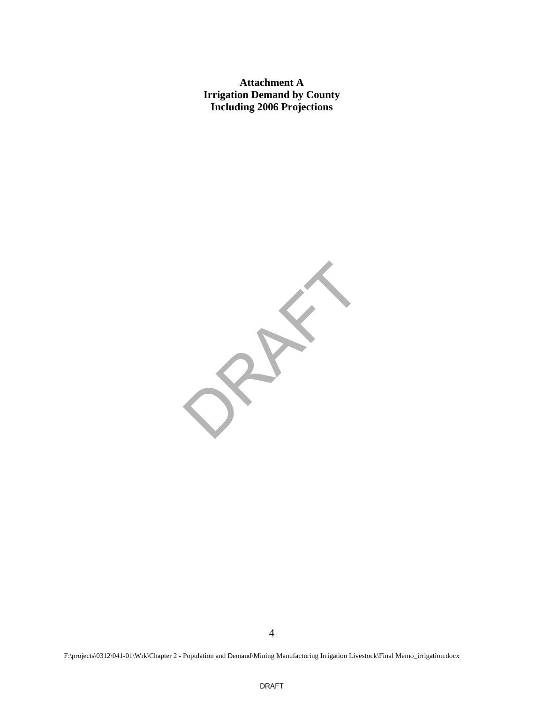**Attachment A Irrigation Demand by County Including 2006 Projections** 

RAFT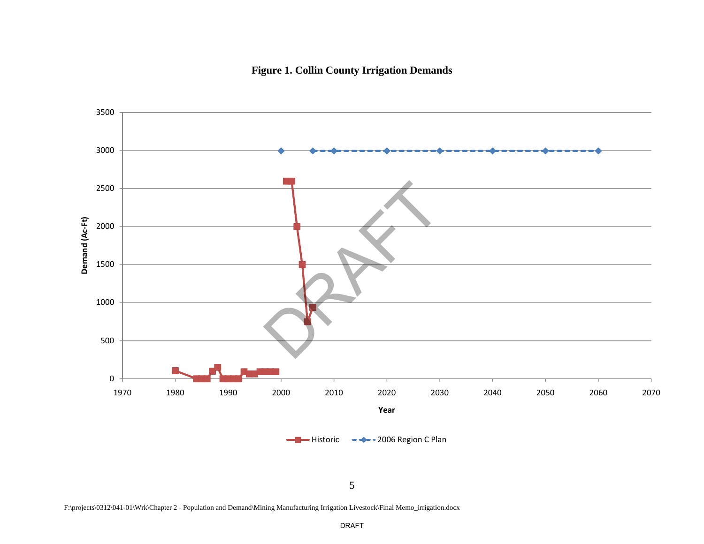

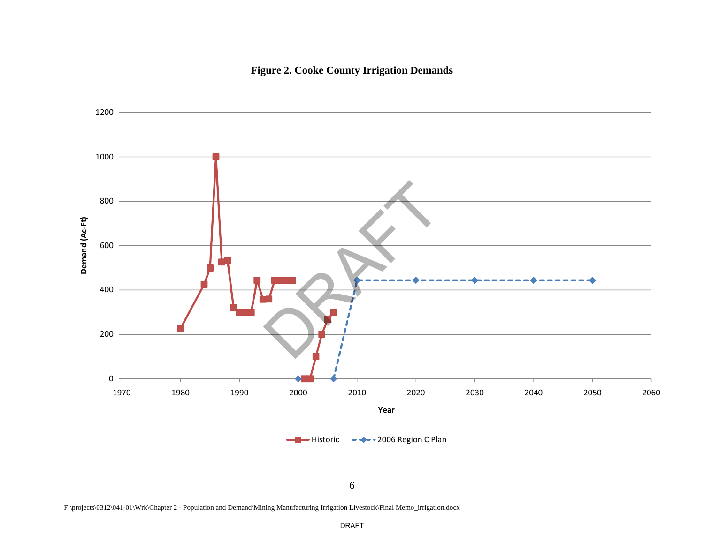

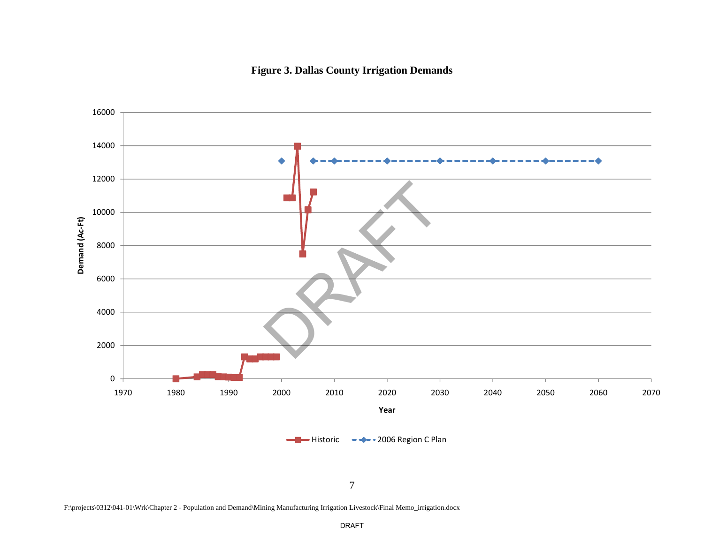

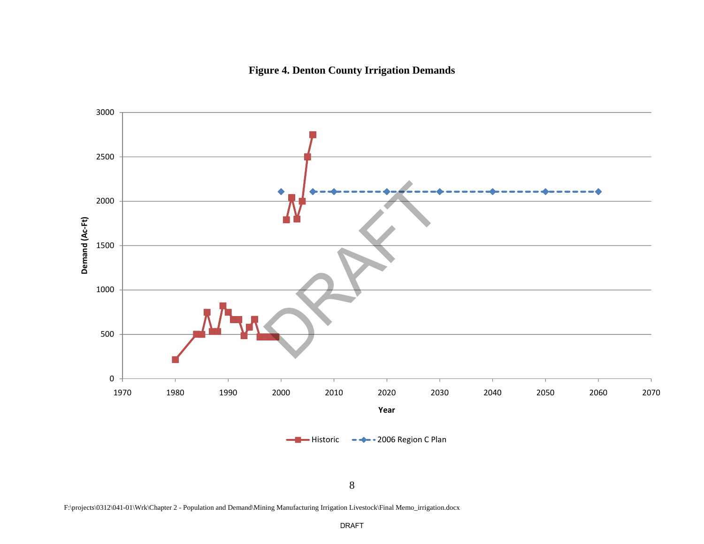

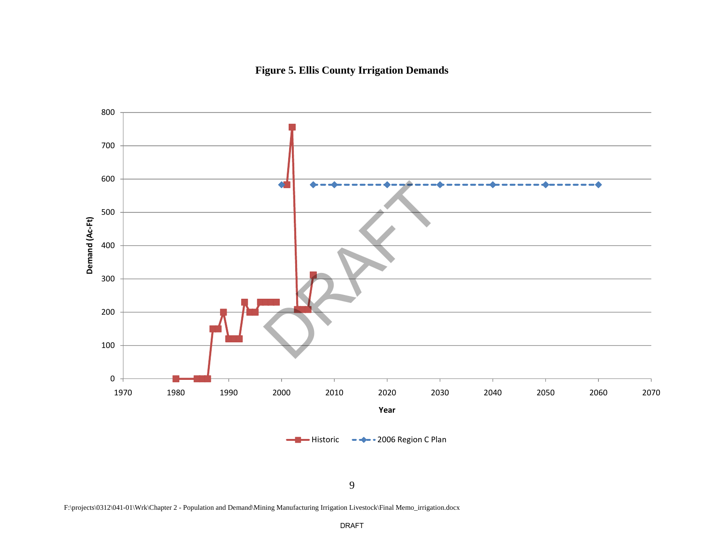

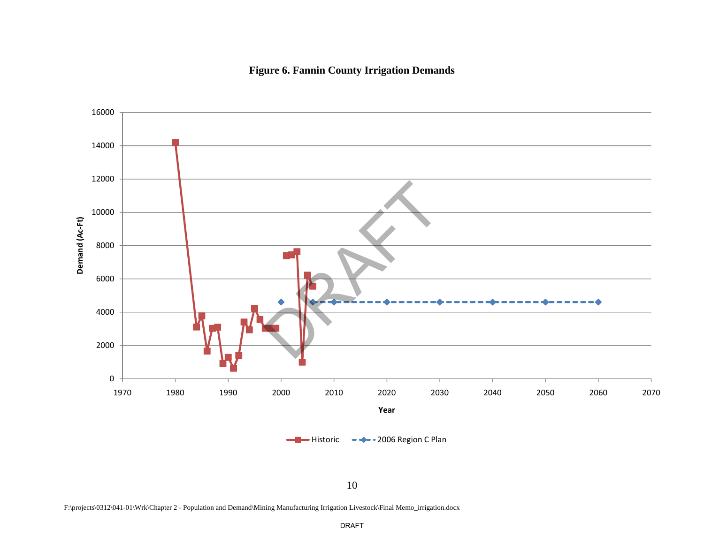# **Figure 6. Fannin County Irrigation Demands**



F:\projects\0312\041-01\Wrk\Chapter 2 - Population and Demand\Mining Manufacturing Irrigation Livestock\Final Memo\_irrigation.docx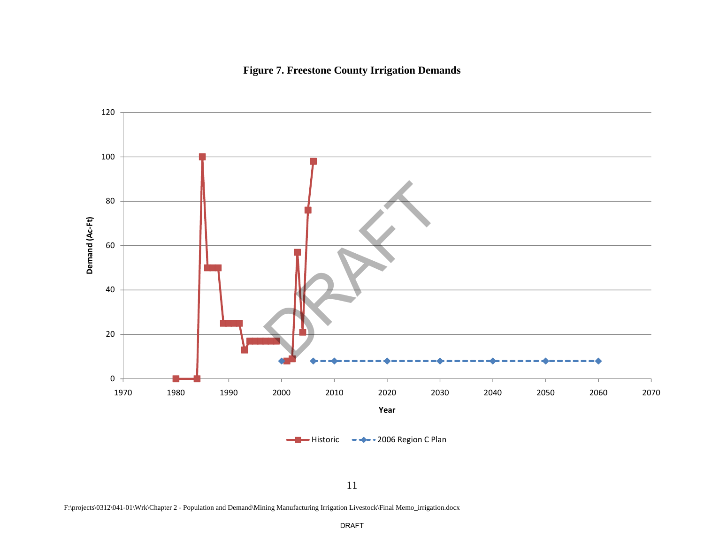



11

F:\projects\0312\041-01\Wrk\Chapter 2 - Population and Demand\Mining Manufacturing Irrigation Livestock\Final Memo\_irrigation.docx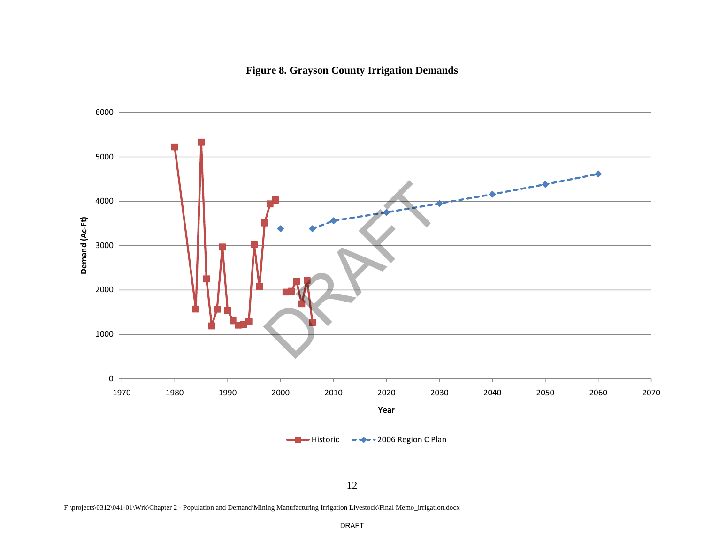# **Figure 8. Grayson County Irrigation Demands**



F:\projects\0312\041-01\Wrk\Chapter 2 - Population and Demand\Mining Manufacturing Irrigation Livestock\Final Memo\_irrigation.docx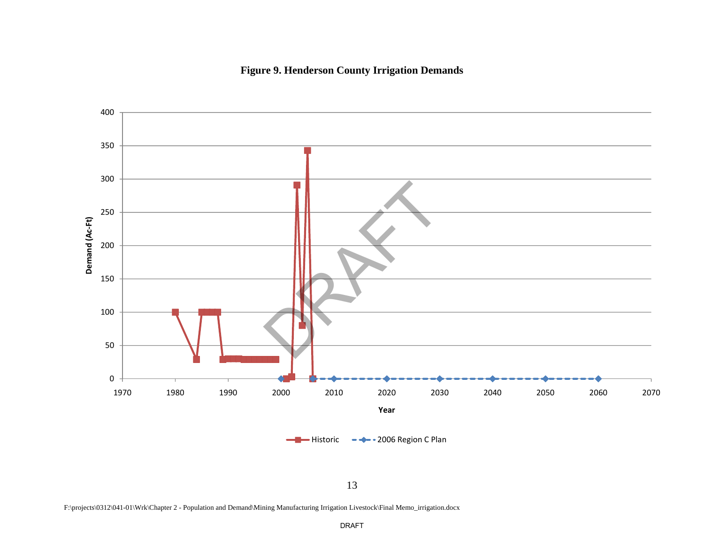



F:\projects\0312\041-01\Wrk\Chapter 2 - Population and Demand\Mining Manufacturing Irrigation Livestock\Final Memo\_irrigation.docx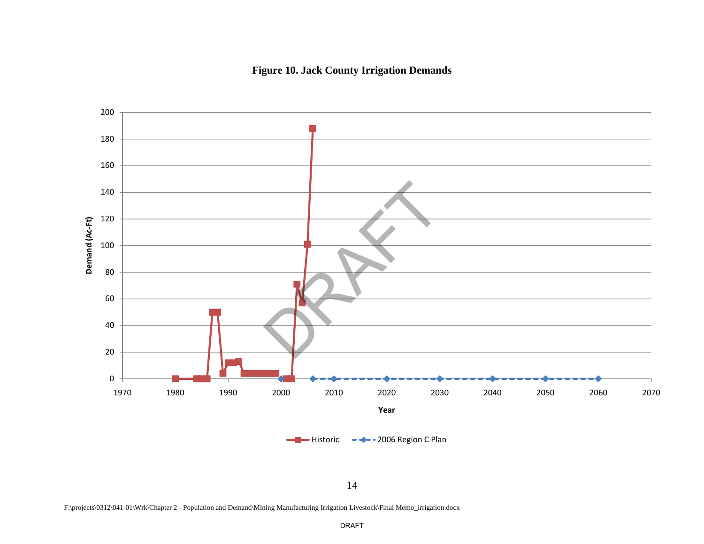



F:\projects\0312\041-01\Wrk\Chapter 2 - Population and Demand\Mining Manufacturing Irrigation Livestock\Final Memo\_irrigation.docx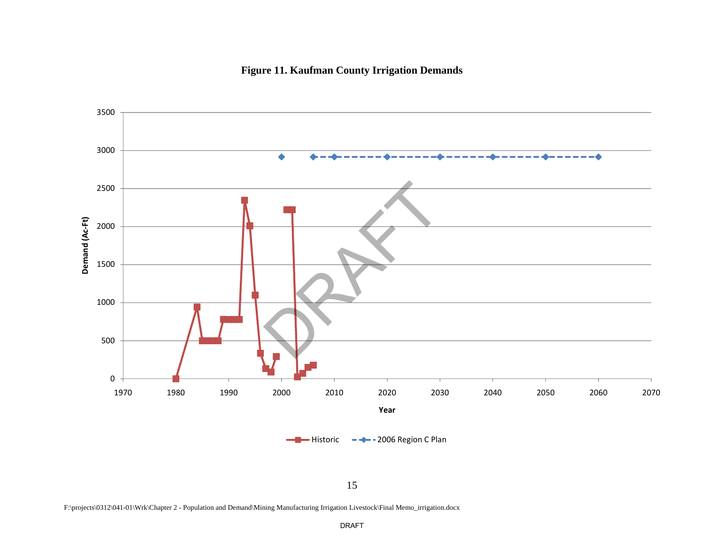

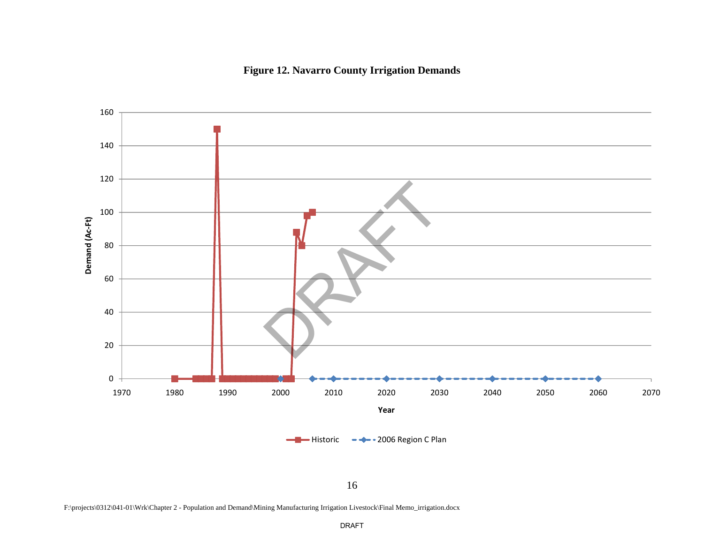# **Figure 12. Navarro County Irrigation Demands**



F:\projects\0312\041-01\Wrk\Chapter 2 - Population and Demand\Mining Manufacturing Irrigation Livestock\Final Memo\_irrigation.docx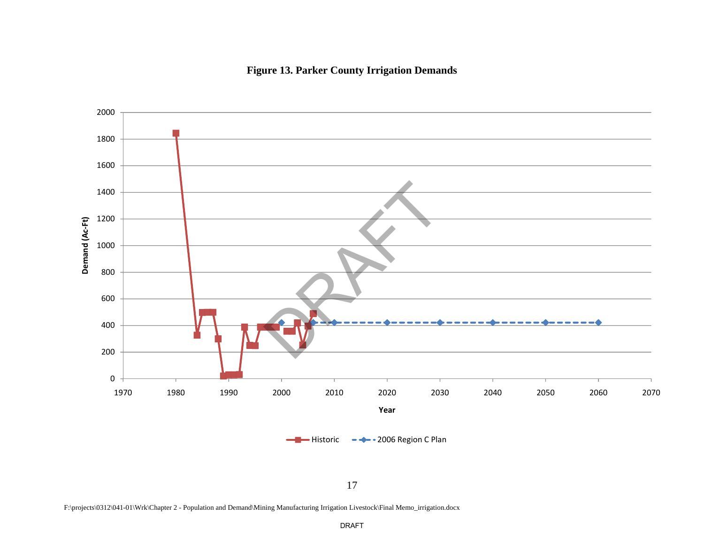



F:\projects\0312\041-01\Wrk\Chapter 2 - Population and Demand\Mining Manufacturing Irrigation Livestock\Final Memo\_irrigation.docx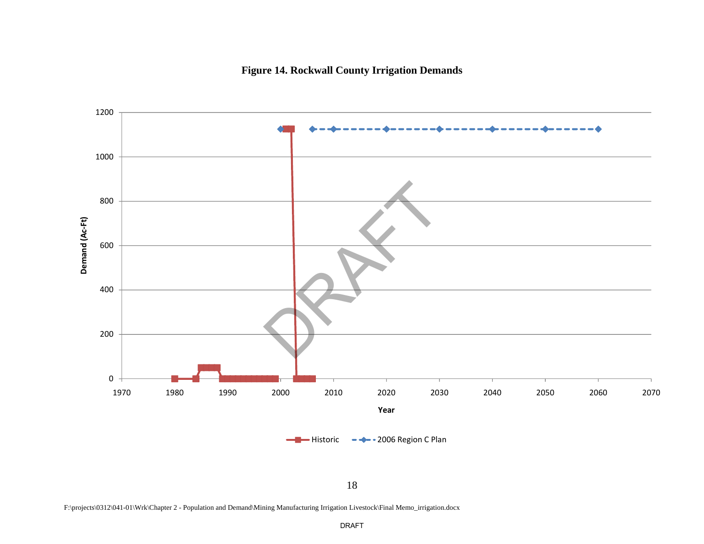



F:\projects\0312\041-01\Wrk\Chapter 2 - Population and Demand\Mining Manufacturing Irrigation Livestock\Final Memo\_irrigation.docx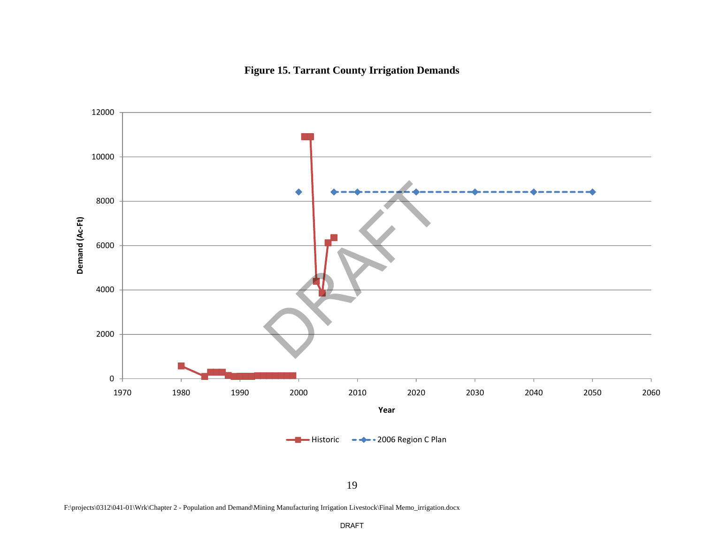



F:\projects\0312\041-01\Wrk\Chapter 2 - Population and Demand\Mining Manufacturing Irrigation Livestock\Final Memo\_irrigation.docx